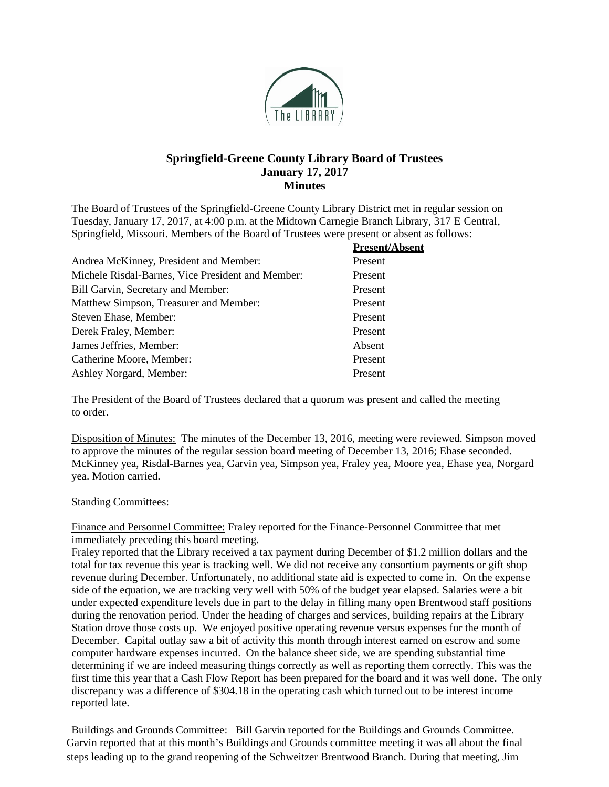

## **Springfield-Greene County Library Board of Trustees January 17, 2017 Minutes**

The Board of Trustees of the Springfield-Greene County Library District met in regular session on Tuesday, January 17, 2017, at 4:00 p.m. at the Midtown Carnegie Branch Library, 317 E Central, Springfield, Missouri. Members of the Board of Trustees were present or absent as follows:

|                                                   | <b>Present/Absent</b> |
|---------------------------------------------------|-----------------------|
| Andrea McKinney, President and Member:            | Present               |
| Michele Risdal-Barnes, Vice President and Member: | Present               |
| Bill Garvin, Secretary and Member:                | Present               |
| Matthew Simpson, Treasurer and Member:            | Present               |
| Steven Ehase, Member:                             | Present               |
| Derek Fraley, Member:                             | Present               |
| James Jeffries, Member:                           | Absent                |
| Catherine Moore, Member:                          | Present               |
| Ashley Norgard, Member:                           | Present               |
|                                                   |                       |

The President of the Board of Trustees declared that a quorum was present and called the meeting to order.

Disposition of Minutes: The minutes of the December 13, 2016, meeting were reviewed. Simpson moved to approve the minutes of the regular session board meeting of December 13, 2016; Ehase seconded. McKinney yea, Risdal-Barnes yea, Garvin yea, Simpson yea, Fraley yea, Moore yea, Ehase yea, Norgard yea. Motion carried.

## **Standing Committees:**

Finance and Personnel Committee: Fraley reported for the Finance-Personnel Committee that met immediately preceding this board meeting.

Fraley reported that the Library received a tax payment during December of \$1.2 million dollars and the total for tax revenue this year is tracking well. We did not receive any consortium payments or gift shop revenue during December. Unfortunately, no additional state aid is expected to come in. On the expense side of the equation, we are tracking very well with 50% of the budget year elapsed. Salaries were a bit under expected expenditure levels due in part to the delay in filling many open Brentwood staff positions during the renovation period. Under the heading of charges and services, building repairs at the Library Station drove those costs up. We enjoyed positive operating revenue versus expenses for the month of December. Capital outlay saw a bit of activity this month through interest earned on escrow and some computer hardware expenses incurred. On the balance sheet side, we are spending substantial time determining if we are indeed measuring things correctly as well as reporting them correctly. This was the first time this year that a Cash Flow Report has been prepared for the board and it was well done. The only discrepancy was a difference of \$304.18 in the operating cash which turned out to be interest income reported late.

Buildings and Grounds Committee: Bill Garvin reported for the Buildings and Grounds Committee. Garvin reported that at this month's Buildings and Grounds committee meeting it was all about the final steps leading up to the grand reopening of the Schweitzer Brentwood Branch. During that meeting, Jim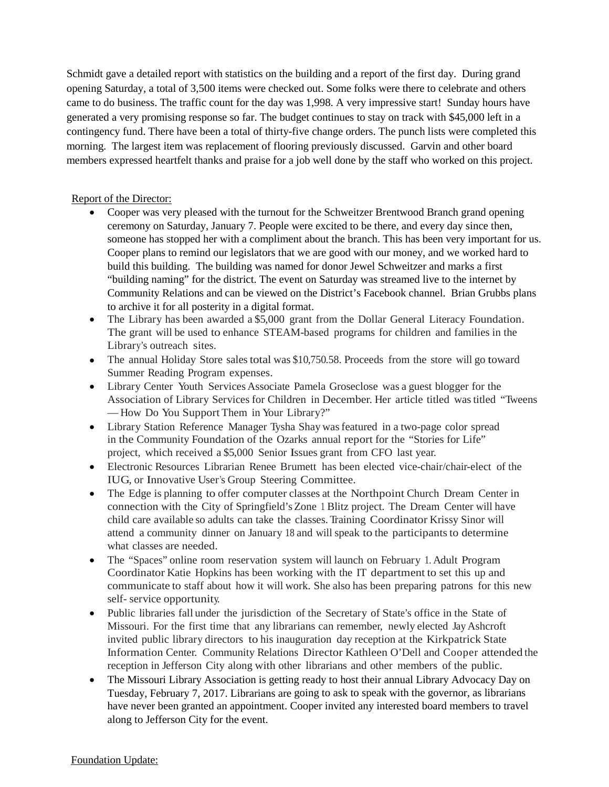Schmidt gave a detailed report with statistics on the building and a report of the first day. During grand opening Saturday, a total of 3,500 items were checked out. Some folks were there to celebrate and others came to do business. The traffic count for the day was 1,998. A very impressive start! Sunday hours have generated a very promising response so far. The budget continues to stay on track with \$45,000 left in a contingency fund. There have been a total of thirty-five change orders. The punch lists were completed this morning. The largest item was replacement of flooring previously discussed. Garvin and other board members expressed heartfelt thanks and praise for a job well done by the staff who worked on this project.

## Report of the Director:

- Cooper was very pleased with the turnout for the Schweitzer Brentwood Branch grand opening ceremony on Saturday, January 7. People were excited to be there, and every day since then, someone has stopped her with a compliment about the branch. This has been very important for us. Cooper plans to remind our legislators that we are good with our money, and we worked hard to build this building. The building was named for donor Jewel Schweitzer and marks a first "building naming" for the district. The event on Saturday was streamed live to the internet by Community Relations and can be viewed on the District's Facebook channel. Brian Grubbs plans to archive it for all posterity in a digital format.
- The Library has been awarded a \$5,000 grant from the Dollar General Literacy Foundation. The grant will be used to enhance STEAM-based programs for children and families in the Library's outreach sites.
- The annual Holiday Store sales total was \$10,750.58. Proceeds from the store will go toward Summer Reading Program expenses.
- Library Center Youth Services Associate Pamela Groseclose was a guest blogger for the Association of Library Services for Children in December. Her article titled wastitled "Tweens — How Do You Support Them in Your Library?"
- Library Station Reference Manager Tysha Shay was featured in a two-page color spread in the Community Foundation of the Ozarks annual report for the "Stories for Life" project, which received a \$5,000 Senior Issues grant from CFO last year.
- Electronic Resources Librarian Renee Brumett has been elected vice-chair/chair-elect of the IUG, or Innovative User's Group Steering Committee.
- The Edge is planning to offer computer classes at the Northpoint Church Dream Center in connection with the City of Springfield's Zone <sup>1</sup> Blitz project. The Dream Center will have child care available so adults can take the classes. Training Coordinator Krissy Sinor will attend a community dinner on January 18 and will speak to the participants to determine what classes are needed.
- The "Spaces" online room reservation system will launch on February 1. Adult Program Coordinator Katie Hopkins has been working with the IT department to set this up and communicate to staff about how it will work. She also has been preparing patrons for this new self- service opportunity.
- Public libraries fall under the jurisdiction of the Secretary of State's office in the State of Missouri. For the first time that any librarians can remember, newly elected Jay Ashcroft invited public library directors to his inauguration day reception at the Kirkpatrick State Information Center. Community Relations Director Kathleen O'Dell and Cooper attended the reception in Jefferson City along with other librarians and other members of the public.
- The Missouri Library Association is getting ready to host their annual Library Advocacy Day on Tuesday, February 7, 2017. Librarians are going to ask to speak with the governor, as librarians have never been granted an appointment. Cooper invited any interested board members to travel along to Jefferson City for the event.

## Foundation Update: